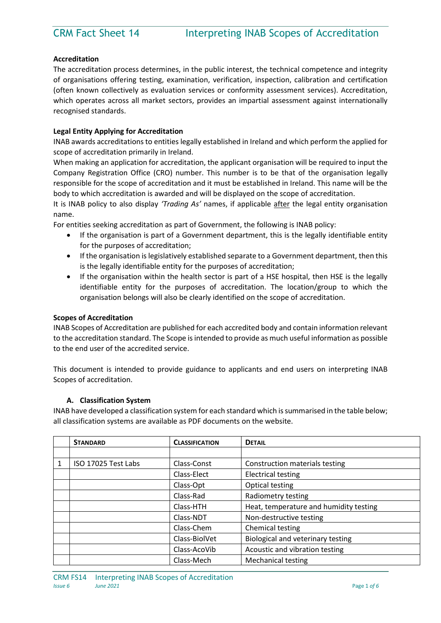# **Accreditation**

The accreditation process determines, in the public interest, the technical competence and integrity of organisations offering testing, examination, verification, inspection, calibration and certification (often known collectively as evaluation services or conformity assessment services). Accreditation, which operates across all market sectors, provides an impartial assessment against internationally recognised standards.

# **Legal Entity Applying for Accreditation**

INAB awards accreditations to entities legally established in Ireland and which perform the applied for scope of accreditation primarily in Ireland.

When making an application for accreditation, the applicant organisation will be required to input the Company Registration Office (CRO) number. This number is to be that of the organisation legally responsible for the scope of accreditation and it must be established in Ireland. This name will be the body to which accreditation is awarded and will be displayed on the scope of accreditation.

It is INAB policy to also display *'Trading As'* names, if applicable after the legal entity organisation name.

For entities seeking accreditation as part of Government, the following is INAB policy:

- If the organisation is part of a Government department, this is the legally identifiable entity for the purposes of accreditation;
- If the organisation is legislatively established separate to a Government department, then this is the legally identifiable entity for the purposes of accreditation;
- If the organisation within the health sector is part of a HSE hospital, then HSE is the legally identifiable entity for the purposes of accreditation. The location/group to which the organisation belongs will also be clearly identified on the scope of accreditation.

## **Scopes of Accreditation**

INAB Scopes of Accreditation are published for each accredited body and contain information relevant to the accreditation standard. The Scope is intended to provide as much useful information as possible to the end user of the accredited service.

This document is intended to provide guidance to applicants and end users on interpreting INAB Scopes of accreditation.

## **A. Classification System**

INAB have developed a classification system for each standard which is summarised in the table below; all classification systems are available as PDF documents on the website.

| <b>STANDARD</b>     | <b>CLASSIFICATION</b> | <b>DETAIL</b>                          |
|---------------------|-----------------------|----------------------------------------|
|                     |                       |                                        |
| ISO 17025 Test Labs | Class-Const           | Construction materials testing         |
|                     | Class-Elect           | <b>Electrical testing</b>              |
|                     | Class-Opt             | Optical testing                        |
|                     | Class-Rad             | Radiometry testing                     |
|                     | Class-HTH             | Heat, temperature and humidity testing |
|                     | Class-NDT             | Non-destructive testing                |
|                     | Class-Chem            | Chemical testing                       |
|                     | Class-BiolVet         | Biological and veterinary testing      |
|                     | Class-AcoVib          | Acoustic and vibration testing         |
|                     | Class-Mech            | <b>Mechanical testing</b>              |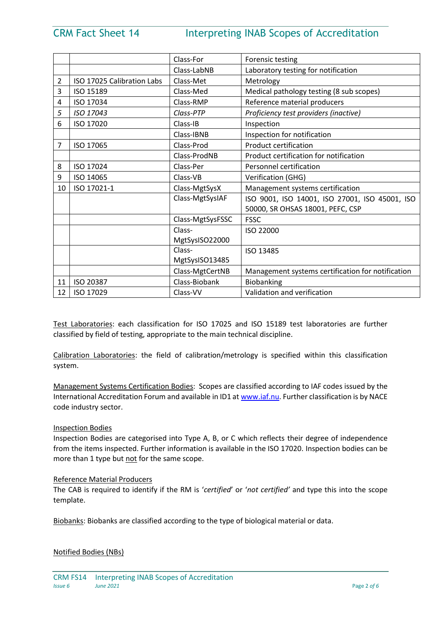# CRM Fact Sheet 14 Interpreting INAB Scopes of Accreditation

|                |                            | Class-For        | Forensic testing                                  |  |
|----------------|----------------------------|------------------|---------------------------------------------------|--|
|                |                            | Class-LabNB      | Laboratory testing for notification               |  |
| 2              | ISO 17025 Calibration Labs | Class-Met        | Metrology                                         |  |
| 3              | ISO 15189                  | Class-Med        | Medical pathology testing (8 sub scopes)          |  |
| 4              | ISO 17034                  | Class-RMP        | Reference material producers                      |  |
| 5              | ISO 17043                  | Class-PTP        | Proficiency test providers (inactive)             |  |
| 6              | ISO 17020                  | Class-IB         | Inspection                                        |  |
|                |                            | Class-IBNB       | Inspection for notification                       |  |
| $\overline{7}$ | ISO 17065                  | Class-Prod       | <b>Product certification</b>                      |  |
|                |                            | Class-ProdNB     | Product certification for notification            |  |
| 8              | ISO 17024                  | Class-Per        | Personnel certification                           |  |
| 9              | ISO 14065                  | Class-VB         | Verification (GHG)                                |  |
| 10             | ISO 17021-1                | Class-MgtSysX    | Management systems certification                  |  |
|                |                            | Class-MgtSysIAF  | ISO 9001, ISO 14001, ISO 27001, ISO 45001, ISO    |  |
|                |                            |                  | 50000, SR OHSAS 18001, PEFC, CSP                  |  |
|                |                            | Class-MgtSysFSSC | <b>FSSC</b>                                       |  |
|                |                            | Class-           | ISO 22000                                         |  |
|                |                            | MgtSysISO22000   |                                                   |  |
|                |                            | Class-           | ISO 13485                                         |  |
|                |                            | MgtSysISO13485   |                                                   |  |
|                |                            | Class-MgtCertNB  | Management systems certification for notification |  |
| 11             | ISO 20387                  | Class-Biobank    | Biobanking                                        |  |
| 12             | ISO 17029                  | Class-VV         | Validation and verification                       |  |

Test Laboratories: each classification for ISO 17025 and ISO 15189 test laboratories are further classified by field of testing, appropriate to the main technical discipline.

Calibration Laboratories: the field of calibration/metrology is specified within this classification system.

Management Systems Certification Bodies: Scopes are classified according to IAF codes issued by the International Accreditation Forum and available in ID1 a[t www.iaf.nu.](http://www.iaf.nu/) Further classification is by NACE code industry sector.

## Inspection Bodies

Inspection Bodies are categorised into Type A, B, or C which reflects their degree of independence from the items inspected. Further information is available in the ISO 17020. Inspection bodies can be more than 1 type but not for the same scope.

## Reference Material Producers

The CAB is required to identify if the RM is '*certified*' or '*not certified'* and type this into the scope template.

Biobanks: Biobanks are classified according to the type of biological material or data.

## Notified Bodies (NBs)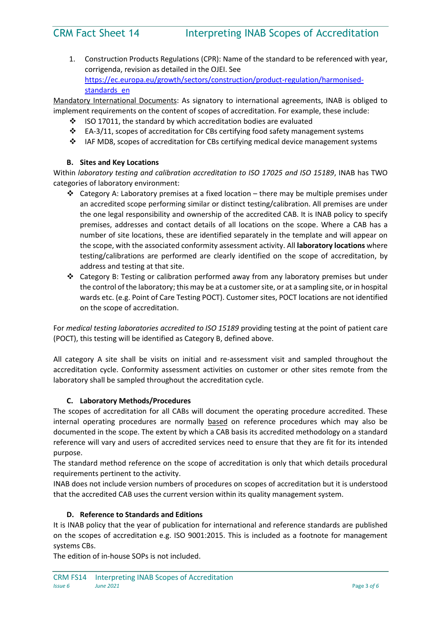1. Construction Products Regulations (CPR): Name of the standard to be referenced with year, corrigenda, revision as detailed in the OJEI. See [https://ec.europa.eu/growth/sectors/construction/product-regulation/harmonised](https://ec.europa.eu/growth/sectors/construction/product-regulation/harmonised-standards_en)standards en

Mandatory International Documents: As signatory to international agreements, INAB is obliged to implement requirements on the content of scopes of accreditation. For example, these include:

- $\cdot$  ISO 17011, the standard by which accreditation bodies are evaluated
- $\cdot \cdot$  EA-3/11, scopes of accreditation for CBs certifying food safety management systems
- IAF MD8, scopes of accreditation for CBs certifying medical device management systems

# **B. Sites and Key Locations**

Within *laboratory testing and calibration accreditation to ISO 17025 and ISO 15189*, INAB has TWO categories of laboratory environment:

- $\div$  Category A: Laboratory premises at a fixed location there may be multiple premises under an accredited scope performing similar or distinct testing/calibration. All premises are under the one legal responsibility and ownership of the accredited CAB. It is INAB policy to specify premises, addresses and contact details of all locations on the scope. Where a CAB has a number of site locations, these are identified separately in the template and will appear on the scope, with the associated conformity assessment activity. All **laboratory locations** where testing/calibrations are performed are clearly identified on the scope of accreditation, by address and testing at that site.
- Category B: Testing or calibration performed away from any laboratory premises but under the control of the laboratory; this may be at a customer site, or at a sampling site, or in hospital wards etc. (e.g. Point of Care Testing POCT). Customer sites, POCT locations are not identified on the scope of accreditation.

For *medical testing laboratories accredited to ISO 15189* providing testing at the point of patient care (POCT), this testing will be identified as Category B, defined above.

All category A site shall be visits on initial and re-assessment visit and sampled throughout the accreditation cycle. Conformity assessment activities on customer or other sites remote from the laboratory shall be sampled throughout the accreditation cycle.

# **C. Laboratory Methods/Procedures**

The scopes of accreditation for all CABs will document the operating procedure accredited. These internal operating procedures are normally based on reference procedures which may also be documented in the scope. The extent by which a CAB basis its accredited methodology on a standard reference will vary and users of accredited services need to ensure that they are fit for its intended purpose.

The standard method reference on the scope of accreditation is only that which details procedural requirements pertinent to the activity.

INAB does not include version numbers of procedures on scopes of accreditation but it is understood that the accredited CAB uses the current version within its quality management system.

# **D. Reference to Standards and Editions**

It is INAB policy that the year of publication for international and reference standards are published on the scopes of accreditation e.g. ISO 9001:2015. This is included as a footnote for management systems CBs.

The edition of in-house SOPs is not included.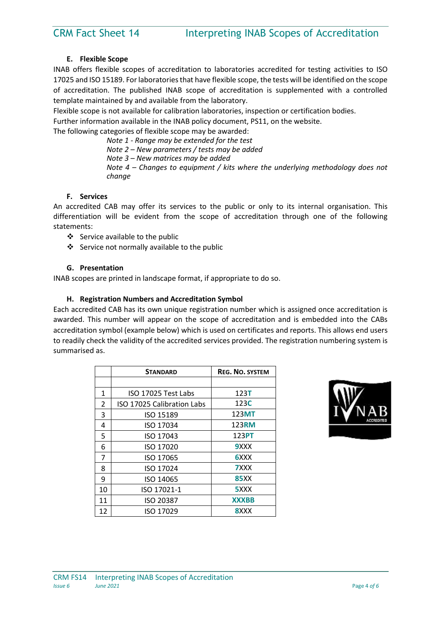# **E. Flexible Scope**

INAB offers flexible scopes of accreditation to laboratories accredited for testing activities to ISO 17025 and ISO 15189. For laboratories that have flexible scope, the tests will be identified on the scope of accreditation. The published INAB scope of accreditation is supplemented with a controlled template maintained by and available from the laboratory.

Flexible scope is not available for calibration laboratories, inspection or certification bodies.

Further information available in the INAB policy document, PS11, on the website.

The following categories of flexible scope may be awarded:

*Note 1 - Range may be extended for the test Note 2 – New parameters / tests may be added Note 3 – New matrices may be added Note 4 – Changes to equipment / kits where the underlying methodology does not change*

# **F. Services**

An accredited CAB may offer its services to the public or only to its internal organisation. This differentiation will be evident from the scope of accreditation through one of the following statements:

- $\div$  Service available to the public
- Service not normally available to the public

# **G. Presentation**

INAB scopes are printed in landscape format, if appropriate to do so.

# **H. Registration Numbers and Accreditation Symbol**

Each accredited CAB has its own unique registration number which is assigned once accreditation is awarded. This number will appear on the scope of accreditation and is embedded into the CABs accreditation symbol (example below) which is used on certificates and reports. This allows end users to readily check the validity of the accredited services provided. The registration numbering system is summarised as.

|               | <b>STANDARD</b>            | <b>REG. NO. SYSTEM</b> |
|---------------|----------------------------|------------------------|
|               |                            |                        |
| 1             | ISO 17025 Test Labs        | 123T                   |
| $\mathcal{P}$ | ISO 17025 Calibration Labs | 123C                   |
| 3             | ISO 15189                  | 123MT                  |
| 4             | ISO 17034                  | 123RM                  |
| 5             | ISO 17043                  | 123PT                  |
| 6             | ISO 17020                  | 9XXX                   |
| 7             | ISO 17065                  | 6XXX                   |
| 8             | ISO 17024                  | <b>7</b> XXX           |
| 9             | ISO 14065                  | 85XX                   |
| 10            | ISO 17021-1                | 5XXX                   |
| 11            | ISO 20387                  | <b>XXXBB</b>           |
| 12            | ISO 17029                  | 8XXX                   |

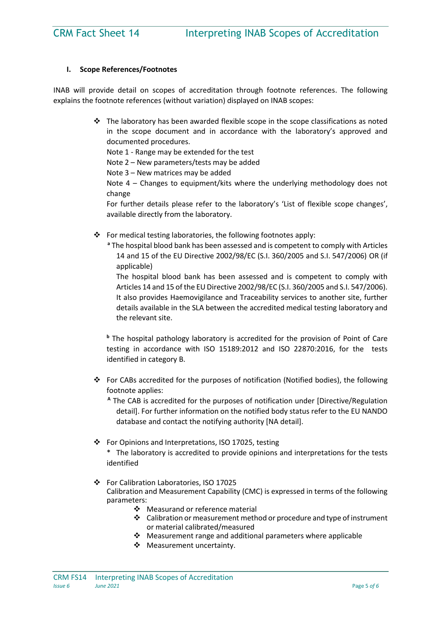# **I. Scope References/Footnotes**

INAB will provide detail on scopes of accreditation through footnote references. The following explains the footnote references (without variation) displayed on INAB scopes:

> $\div$  The laboratory has been awarded flexible scope in the scope classifications as noted in the scope document and in accordance with the laboratory's approved and documented procedures.

Note 1 - Range may be extended for the test

Note 2 – New parameters/tests may be added

Note 3 – New matrices may be added

Note 4 – Changes to equipment/kits where the underlying methodology does not change

For further details please refer to the laboratory's 'List of flexible scope changes', available directly from the laboratory.

- $\cdot \cdot$  For medical testing laboratories, the following footnotes apply:
	- **<sup>a</sup>** The hospital blood bank has been assessed and is competent to comply with Articles 14 and 15 of the EU Directive 2002/98/EC (S.I. 360/2005 and S.I. 547/2006) OR (if applicable)

The hospital blood bank has been assessed and is competent to comply with Articles 14 and 15 of the EU Directive 2002/98/EC (S.I. 360/2005 and S.I. 547/2006). It also provides Haemovigilance and Traceability services to another site, further details available in the SLA between the accredited medical testing laboratory and the relevant site.

**<sup>b</sup>** The hospital pathology laboratory is accredited for the provision of Point of Care testing in accordance with ISO 15189:2012 and ISO 22870:2016, for the tests identified in category B.

- For CABs accredited for the purposes of notification (Notified bodies), the following footnote applies:
	- **<sup>A</sup>** The CAB is accredited for the purposes of notification under [Directive/Regulation detail]. For further information on the notified body status refer to the EU NANDO database and contact the notifying authority [NA detail].
- For Opinions and Interpretations, ISO 17025, testing \* The laboratory is accredited to provide opinions and interpretations for the tests identified
- For Calibration Laboratories, ISO 17025 Calibration and Measurement Capability (CMC) is expressed in terms of the following parameters:
	- ❖ Measurand or reference material
	- $\triangleleft$  Calibration or measurement method or procedure and type of instrument or material calibrated/measured
	- $\cdot$  Measurement range and additional parameters where applicable
	- ❖ Measurement uncertainty.